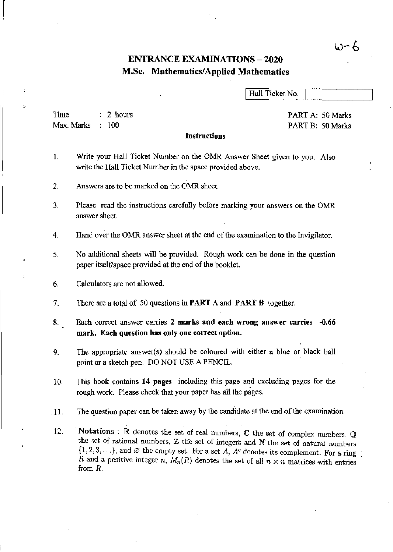# いーん

## ENTRANCE EXAMINATIONS - 2020 M.Sc. Mathematics/Applied Mathematics

Hall Ticket No.

Time Max. Marks 2 hours  $: 100$ 

PART A: 50 Marks PART B: 50 Marks

#### Instructions

- 1. Write your Hall Ticket Number on the OMR Answer Sheet given to you. Also write the Hall Ticket Number in the space provided above.
- 2. Answers are to be marked on the OMR sheet.

3. Please read the instructions carefully before marking your answers on the OMR answer sheet.

4. Hand over the OMR answer sheet at the end of the examination to the Invigilator.

- 5. No additional sheets will be provided. Rough work can be done in the question paper itself/space provided at the end of the booklet.
- 6. Calculators are not allowed.
- 7. There are a total of 50 questions in PART A and PART B together.
- 8. Each correct answer carries 2 marks and each wrong answer carries -0.66 mark. Each question has only one correct option.
- 9. The appropriate answer(s) should be coloured with either a blue or black ball point or a sketch pen. DO NOT USE A PENCIL.
- 10. This book contalns 14 pages including this page and excluding pages for the rough work. Please check that your paper has all the pages.
- 11. The question paper can be taken away by the candidate at the end of the examination.
- 12. Notations: R denotes the set of real numbers, C the set of complex numbers, Q the set of rational numbers,  $Z$  the set of integers and  $N$  the set of natural numbers  $\{1, 2, 3, \ldots\}$ , and  $\varnothing$  the empty set. For a set  $A$ ,  $A^c$  denotes its complement. For a ring *R* and a positive integer *n*,  $M_n(R)$  denotes the set of all  $n \times n$  matrices with entries from *R.*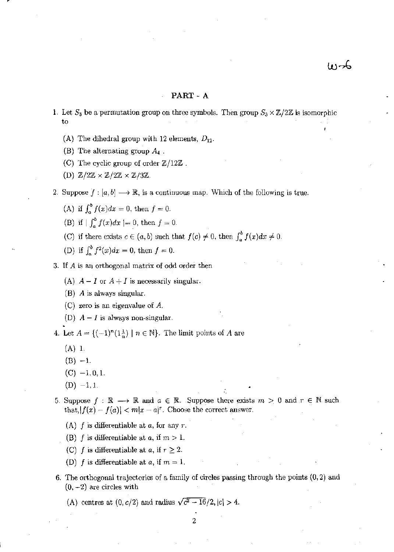#### PART- A

- 1. Let  $S_3$  be a permutation group on three symbols. Then group  $S_3 \times \mathbb{Z}/2\mathbb{Z}$  is isomorphic to
	- (A) The dihedral group with 12 elements,  $D_{12}$ .
	- (B) The alternating group *A, .*
	- (C) The cyclic group of order  $\mathbb{Z}/12\mathbb{Z}$ .
	- (D)  $\mathbb{Z}/2\mathbb{Z} \times \mathbb{Z}/2\mathbb{Z} \times \mathbb{Z}/3\mathbb{Z}$ .
- 2. Suppose  $f : [a, b] \longrightarrow \mathbb{R}$ , is a continuous map. Which of the following is true.
	- (A) if  $\int_{a}^{b} f(x)dx = 0$ , then  $f = 0$ .
	- (B) if  $|\int_a^b f(x)dx| = 0$ , then  $f = 0$ .
	- (C) if there exists  $c \in (a, b)$  such that  $f(c) \neq 0$ , then  $\int_a^b f(x) dx \neq 0$ .
	- (D) if  $\int_{a}^{b} f^{2}(x)dx = 0$ , then  $f = 0$ .
- 3. If A is an orthogonal matrix of odd order then
	- (A)  $A I$  or  $A + I$  is necessarily singular.
	- (B) A is always singular.
	- (C) zero is an eigenvalue of *A.*
	- (D)  $A I$  is always non-singular.
- 4. Let  $A = \{(-1)^n(1\frac{1}{n}) \mid n \in \mathbb{N}\}\.$  The limit points of A are
	- (A) 1.
	- $(B) -1.$
	- $(C)$  -1, 0, 1.
	- $(D) -1, 1.$
- 5. Suppose  $f : \mathbb{R} \longrightarrow \mathbb{R}$  and  $a \in \mathbb{R}$ . Suppose there exists  $m > 0$  and  $r \in \mathbb{N}$  such that,  $|f(x) - f(a)| < m|x - a|$ <sup>r</sup>. Choose the correct answer.
	- (A) f is differentiable at *a,* for any *r.*
	- (B) f is differentiable at a, if  $m > 1$ .
	- (C) f is differentiable at *a*, if  $r \geq 2$ .
	- (D) f is differentiable at a, if  $m = 1$ .
- 6. The orthogonal trajectories of a family of circles passing through the points (0,2) and  $(0, -2)$  are circles with

(A) centres at  $(0, c/2)$  and radius  $\sqrt{c^2 - 16}/2$ ,  $|c| > 4$ .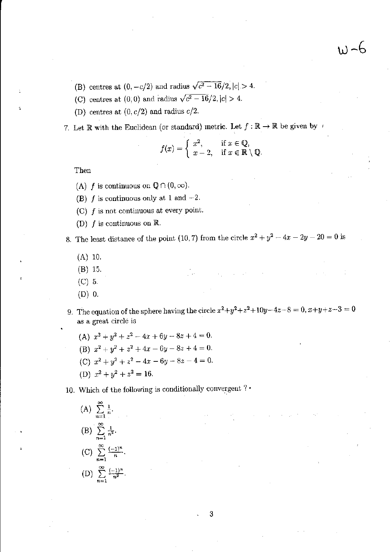$w - 6$ 

- (B) centres at  $(0, -c/2)$  and radius  $\sqrt{c^2 16}/2$ ,  $|c| > 4$ .
- (C) centres at (0,0) and radius  $\sqrt{c^2 16}/2$ ,  $|c| > 4$ .
- (D) centres at (0, *c/2)* and radius *c/2.*
- 7. Let **R** with the Euclidean (or standard) metric. Let  $f: \mathbb{R} \to \mathbb{R}$  be given by  $\prime$

$$
f(x) = \begin{cases} x^2, & \text{if } x \in \mathbb{Q}, \\ x - 2, & \text{if } x \in \mathbb{R} \setminus \mathbb{Q}. \end{cases}
$$

**Then** 

- (A) f is continuous on  $\mathbb{Q}\cap (0,\infty)$ .
- (B)  $f$  is continuous only at 1 and  $-2$ .
- **(C) f is not continuous at every point.**
- **(D) f is continuous on** R

8. The least distance of the point (10, 7) from the circle  $x^2 + y^2 - 4x - 2y - 20 = 0$  is

- (A) 10.
- (B) 15.
- (C) 5.
- (D) O.
- **9.** The equation of the sphere having the circle  $x^2 + y^2 + z^2 + 10y 4z 8 = 0$ ,  $x + y + z 3 = 0$ as **a great circle is**

 $\label{eq:2} \frac{1}{2}\int_{\mathbb{R}^3}\frac{1}{\sqrt{2}}\left(\frac{1}{\sqrt{2}}\right)^2\left(\frac{1}{\sqrt{2}}\right)^2\left(\frac{1}{\sqrt{2}}\right)^2\left(\frac{1}{\sqrt{2}}\right)^2\left(\frac{1}{\sqrt{2}}\right)^2\left(\frac{1}{\sqrt{2}}\right)^2.$ 

- (A)  $x^2 + y^2 + z^2 4x + 6y 8z + 4 = 0$ .
- (B)  $x^2 + y^2 + z^2 + 4x 6y 8z + 4 = 0$ .
- (C)  $x^2 + y^2 + z^2 4x 6y 8z 4 = 0$ .
- (D)  $x^2 + y^2 + z^2 = 16$ .

10. Which of the following is conditionally convergent  $? \cdot$ 

(A) 
$$
\sum_{n=1}^{\infty} \frac{1}{n}
$$
  
\n(B) 
$$
\sum_{n=1}^{\infty} \frac{1}{n^2}
$$
  
\n(C) 
$$
\sum_{n=1}^{\infty} \frac{(-1)^n}{n}
$$
  
\n(D) 
$$
\sum_{n=1}^{\infty} \frac{(-1)^n}{n^2}
$$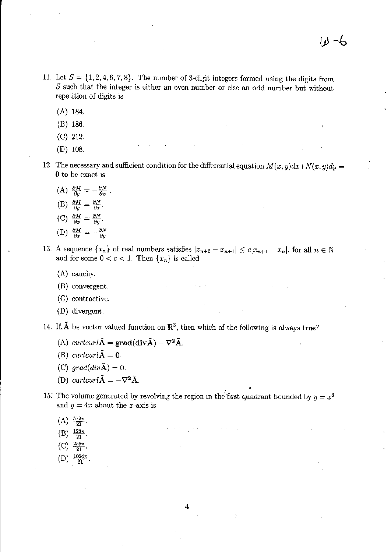- 11. Let  $S = \{1, 2, 4, 6, 7, 8\}$ . The number of 3-digit integers formed using the digits from *S* such that the integer is either an even number or else an odd number but without repetition of digits is
	- (A) 184.
	- (B) 186.
	- *(C) 212.*
	- (D) 108.
- 12. The necessary and sufficient condition for the differential equation  $M(x, y)dx+N(x, y)dy=$ 0 to be exact is
	- (A)  $\frac{\partial M}{\partial y} = -\frac{\partial N}{\partial x}$ (B)  $\frac{\partial M}{\partial y} = \frac{\partial N}{\partial x}$ . (C)  $\frac{\partial M}{\partial x} = \frac{\partial N}{\partial y}$ .
	- (D)  $\frac{\partial M}{\partial x} = -\frac{\partial N}{\partial y}$
- 13. A sequence  $\{x_n\}$  of real numbers satisfies  $|x_{n+2} x_{n+1}| \le c|x_{n+1} x_n|$ , for all  $n \in \mathbb{N}$ and for some  $0 < c < 1$ . Then  $\{x_n\}$  is called
	- (A) cauchy.
	- (B) convergent,
	- (C) contractive.
	- (D) divergent.

14. If.  $\tilde{A}$  be vector valued function on  $\mathbb{R}^3$ , then which of the following is always true?

- (A) *curlcurl* $\tilde{A} = \text{grad}(\text{div}\tilde{A}) \nabla^2 \tilde{A}$ .
- (B) *curlcurl* $\tilde{A} = 0$ .
- *(C)*  $grad(div \tilde{A}) = 0$ .
- (D) *curlcurl* $\tilde{A} = -\nabla^2 \tilde{A}$ .
- 15. The volume generated by revolving the region in the first quadrant bounded by  $y = x^3$ and  $y = 4x$  about the x-axis is
	- $(A) \frac{512\pi}{21}$ .
	-
	- $(B) \frac{128\pi}{21}.$
	- (C)  $\frac{256\pi}{21}$ .
	- (D)  $\frac{1024\pi}{21}$ .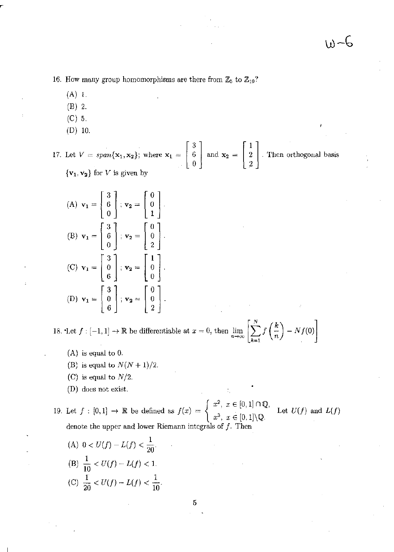16. How many group homomorphisms are there from  $\mathbb{Z}_5$  to  $\mathbb{Z}_{10}$ ?

- (A) 1.
- (B) 2.
- (C) 5.
- (D) 10.

17. Let 
$$
V = span{\mathbf{x}_1, \mathbf{x}_2}
$$
; where  $\mathbf{x}_1 = \begin{bmatrix} 3 \\ 6 \\ 0 \end{bmatrix}$  and  $\mathbf{x}_2 = \begin{bmatrix} 1 \\ 2 \\ 2 \end{bmatrix}$ . Then orthogonal basis  $\{\mathbf{v}_1, \mathbf{v}_2\}$  for V is given by

(A) 
$$
\mathbf{v}_1 = \begin{bmatrix} 3 \\ 6 \\ 0 \end{bmatrix}
$$
;  $\mathbf{v}_2 = \begin{bmatrix} 0 \\ 0 \\ 1 \end{bmatrix}$ .  
\n(B)  $\mathbf{v}_1 = \begin{bmatrix} 3 \\ 6 \\ 0 \end{bmatrix}$ ;  $\mathbf{v}_2 = \begin{bmatrix} 0 \\ 0 \\ 2 \end{bmatrix}$ .  
\n(C)  $\mathbf{v}_1 = \begin{bmatrix} 3 \\ 0 \\ 6 \end{bmatrix}$ ;  $\mathbf{v}_2 = \begin{bmatrix} 1 \\ 0 \\ 0 \end{bmatrix}$ .  
\n(D)  $\mathbf{v}_1 = \begin{bmatrix} 3 \\ 0 \\ 6 \end{bmatrix}$ ;  $\mathbf{v}_2 = \begin{bmatrix} 0 \\ 0 \\ 2 \end{bmatrix}$ .

18. Let  $f: [-1, 1] \to \mathbb{R}$  be differentiable at  $x = 0$ , then  $\lim_{n \to \infty} \left[ \sum_{k=1}^{N} f\left(\frac{k}{n}\right) - Nf(0) \right]$ 

- (A) is equal to O.
- (B) is equal to  $N(N + 1)/2$ .
- (C) is equal to  $N/2$ .
- **(D) does not exist.**

19. Let  $f : [0,1] \rightarrow \mathbb{R}$  be defined as  $f(x) = \begin{cases} x^3, & x \in [0,1] \setminus \mathbb{Q}, \\ x^3, & x \in [0,1] \setminus \mathbb{Q}. \end{cases}$  $x^2, x \in [0,1] \cap \mathbb{Q},$  $x^3$ ,  $x \in [0,1] \backslash \mathbb{Q}$ . **denote the upper and lower Riemann integrals of** *f.* **Then**  Let  $U(f)$  and  $L(f)$ 

(A) 
$$
0 < U(f) - L(f) < \frac{1}{20}
$$
.  
\n(B)  $\frac{1}{10} < U(f) - L(f) < 1$ .  
\n(C)  $\frac{1}{20} < U(f) - L(f) < \frac{1}{10}$ .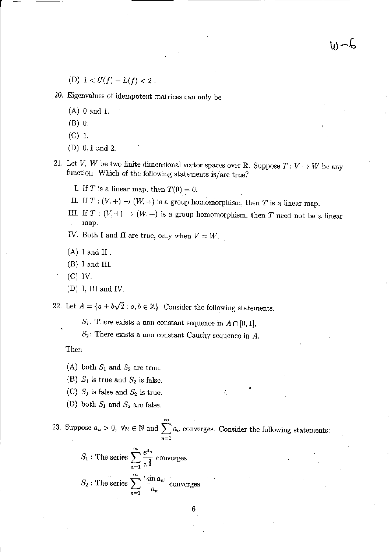(D)  $1 < U(f) - L(f) < 2$ .

20. Eigenvalues of idempotent matrices can only be

- (A) 0 and 1.
- (B) O.
- (C) 1.
- (D) 0,1 and 2.
- 21. Let *V*, *W* be two finite dimensional vector spaces over R. Suppose  $T: V \to W$  be any function. Which of the following statements is/are true?

 $d - \omega$ 

- I. If T is a linear map, then  $T(0) = 0$ .
- II. If  $T : (V, +) \to (W, +)$  is a group homomorphism, then *T* is a linear map.
- III. If  $T : (V, +) \rightarrow (W, +)$  is a group homomorphism, then T need not be a linear map.
- IV. Both I and II are true, only when  $V = W$ .
- $(A)$  I and II.
- (B) I and III.
- (C) IV.
- $(D)$  I, III and IV.

22. Let  $A = \{a + b\sqrt{2} : a, b \in \mathbb{Z}\}$ . Consider the following statements.

- *S*<sub>1</sub>: There exists a non constant sequence in  $A \cap [0, 1]$ ,
- $S_2$ : There exists a non constant Cauchy sequence in  $A$ .

### Then

- (A) both  $S_1$  and  $S_2$  are true.
- (B)  $S_1$  is true and  $S_2$  is false.
- (C)  $S_1$  is false and  $S_2$  is true.
- (D) both  $S_1$  and  $S_2$  are false.

23. Suppose  $a_n > 0$ ,  $\forall n \in \mathbb{N}$  and  $\sum_{n=0}^{\infty} a_n$  converges. Consider the following statements:  $n=1$ 

$$
S_1
$$
: The series 
$$
\sum_{n=1}^{\infty} \frac{e^{a_n}}{n^{\frac{3}{2}}}
$$
 converges  

$$
S_2
$$
: The series 
$$
\sum_{n=1}^{\infty} \frac{|\sin a_n|}{a_n}
$$
 converges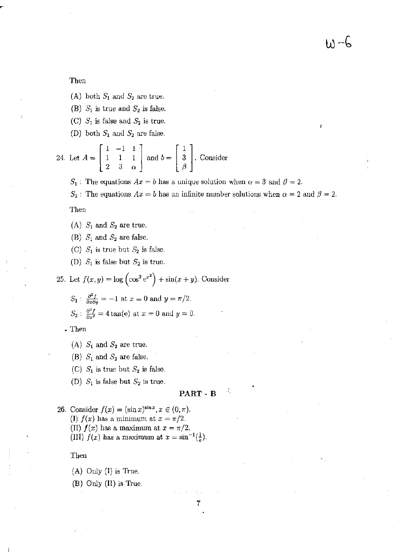Then

- (A) both  $S_1$  and  $S_2$  are true.
- (B)  $S_1$  is true and  $S_2$  is false.
- (C)  $S_1$  is false and  $S_2$  is true.

(D) both  $S_1$  and  $S_2$  are false.

24. Let 
$$
A = \begin{bmatrix} 1 & -1 & 1 \\ 1 & 1 & 1 \\ 2 & 3 & \alpha \end{bmatrix}
$$
 and  $b = \begin{bmatrix} 1 \\ 3 \\ \beta \end{bmatrix}$ . Consider

 $S_1$ : The equations  $Ax = b$  has a unique solution when  $\alpha = 3$  and  $\beta = 2$ .

 $S_2$ : The equations  $Ax = b$  has an infinite number solutions when  $\alpha = 2$  and  $\beta = 2$ .

Then

- (A)  $S_1$  and  $S_2$  are true.
- (B)  $S_1$  and  $S_2$  are false.
- (C)  $S_1$  is true but  $S_2$  is false.
- (D)  $S_1$  is false but  $S_2$  is true.

25. Let 
$$
f(x, y) = \log \left( \cos^2 e^{x^2} \right) + \sin(x + y)
$$
. Consider

$$
S_1: \frac{\partial^2 f}{\partial x \partial y} = -1 \text{ at } x = 0 \text{ and } y = \pi/2.
$$
  

$$
S_2: \frac{\partial^2 f}{\partial x^2} = 4 \tan(e) \text{ at } x = 0 \text{ and } y = 0.
$$

. 'Then

- (A)  $S_1$  and  $S_2$  are true.
- (B)  $S_1$  and  $S_2$  are false.
- (C)  $S_1$  is true but  $S_2$  is false.
- (D)  $S_1$  is false but  $S_2$  is true.

PART - B

7

- 26. Consider  $f(x) = (\sin x)^{\sin x}, x \in (0, \pi)$ .
	- *(I)*  $f(x)$  has a minimum at  $x = \pi/2$ .

(II)  $f(x)$  has a maximum at  $x = \pi/2$ .

(III)  $f(x)$  has a maximum at  $x = \sin^{-1}(\frac{1}{e})$ .

Then

(A) Only (I) is True.

(B) Only (II) is True.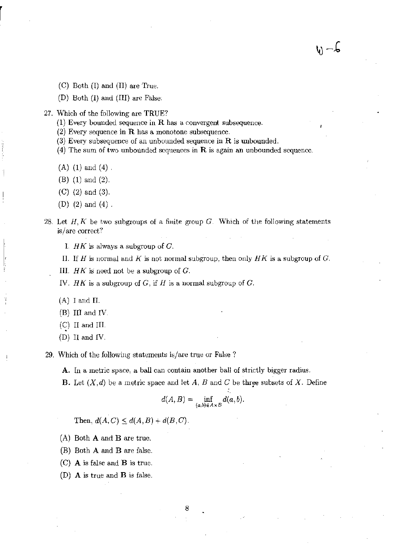- (C) Both (I) and (II) are True.
- (D) Both (I) and (III) are False.
- 27. Which of the following are TRUE?
	- (1) Every bounded sequence in R has a convergent subsequence.
	- (2) Every sequence in  $R$  has a monotone subsequence.
	- (3) Every subsequence of an unbounded sequence in  $R$  is unbounded.
	- (4) The sum of two unbounded sequences in  $\bf{R}$  is again an unbounded sequence.

 $W - C$ 

- $(A)$  (1) and (4).
- (B) (1) and (2).
- (C) (2) and (3).
- (D) (2) and (4) .
- 28. Let  $H, K$  be two subgroups of a finite group  $G$ . Which of the following statements is/are correct?
	- 1.  $HK$  is always a subgroup of  $C$ .
	- II. If H is normal and K is not normal subgroup, then only  $HK$  is a subgroup of  $G$ .
	- III.  $HK$  is need not be a subgroup of  $G$ .
	- IV.  $HK$  is a subgroup of G, if H is a normal subgroup of G.
	- (A) I and II.
	- (B) III and IV.
	- $(C)$  II and III.
	- (D) II and IV.
- 29. Which of the following statements is/are true or False?
	- **A.** In a metric space. a ball can contain another ball of strictly bigger radius.
	- **B.** Let  $(X,d)$  be a metric space and let A, B and C be three subsets of X. Define

$$
d(A, B) = \inf_{(a,b)\in A\times B} d(a, b).
$$

Then,  $d(A, C) \leq d(A, B) + d(B, C)$ .

- (A) Both A and B are true.
- (B) Both A and B are false.
- (C) A is false and B is true.
- (D) A is true and B is false.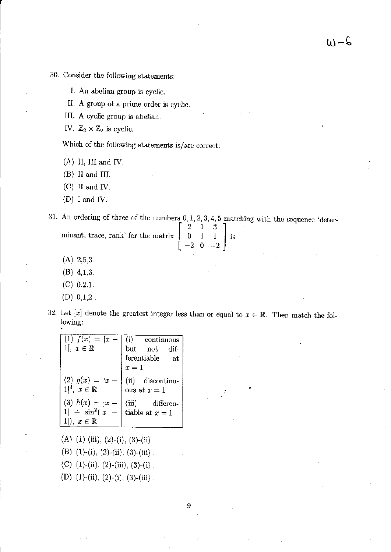- 30. Consider the following statements:
	- I. An abelian group is cyclic.
	- II. A group of a prime order is cyclic.
	- III. A cyclic group is abelian.

IV.  $\mathbb{Z}_2 \times \mathbb{Z}_2$  is cyclic.

Which of the following statements is/are correct:

(A) II, III and IV.

(B) II and III.

r

(C) II and IV.

(D) I and IV.

31. An ordering of three of the numbers  $0, 1, 2, 3, 4, 5$  matching with the sequence 'deter-

| minant, trace, rank' for the matrix $\begin{bmatrix} 2 & 1 & 3 \\ 0 & 1 & 1 \end{bmatrix}$ is |                                             |  |  |
|-----------------------------------------------------------------------------------------------|---------------------------------------------|--|--|
|                                                                                               | $\begin{vmatrix} -2 & 0 & -2 \end{vmatrix}$ |  |  |

- (A) 2,5,3.
- (B) 4,1,3.
- (C) 0.2,1.
- $(D)$  0,1,2.
- 32. Let [x] denote the greatest integer less than or equal to  $x \in \mathbb{R}$ . Then match the following: .

| $(1) f(x) = [x -$                                                      | $(i)$ continuous                   |  |
|------------------------------------------------------------------------|------------------------------------|--|
| $1, x \in \mathbb{R}$                                                  | but not dif-                       |  |
|                                                                        | ferentiable<br>at                  |  |
|                                                                        | $x=1$                              |  |
| $(2) g(x) =  x -$<br>$1^3$ , $x \in \mathbb{R}$                        | (ii) discontinu-<br>ous at $x=1$   |  |
| (3) $h(x) =  x -$<br>$1 \vert + \sin^2( x -$<br>$1 , x \in \mathbb{R}$ | (iii) differen-<br>tiable at $x=1$ |  |

(A) (1)-(iii), (2)-(i), (3)-(ii).

(B) (1)-(i), (2)-(ii), (3)-(iii).

(C)  $(1)-(ii)$ ,  $(2)-(iii)$ ,  $(3)-(i)$ .

(D) (1)-(ii), (2)-(i), (3)-(iii).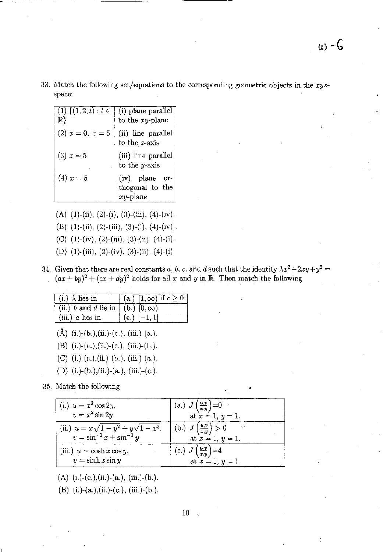**33. Match the following set/equations to the corresponding geometric objects in the** *xyz***space:** 

| $(1) \{(1,2,t): t \in$<br>$\mathbb{R}\}$ | (i) plane parallel<br>to the $xy$ -plane      |
|------------------------------------------|-----------------------------------------------|
| (2) $x = 0, z = 5$                       | (ii) line parallel<br>to the $z$ -axis        |
| $(3) z = 5$                              | (iii) line parallel<br>to the $y$ -axis       |
| $(4) x = 5$                              | (iv) plane<br>or-<br>thogonal to the<br>plane |

- (A) (1)-(ii), (2)-(i), (3)-(iii), (4)-(iv).
- (B) (1)-(ii), (2)-(iii), (3)-(i), (4)-(iv).
- (C)  $(1)-(iv)$ ,  $(2)-(iii)$ ,  $(3)-(ii)$ ,  $(4)-(i)$ .
- (D) (I)-(iii), (2)-(iv), (3)-(ii), (4)-(i)
- **34.** Given that there are real constants *a, b, c,* and *d* such that the identity  $\lambda x^2 + 2xy + y^2 =$  $(ax + by)^2 + (cx + dy)^2$  holds for all *x* and *y* in R. Then match the following

| $(i.) \lambda$ lies in                   | (a.) $[1, \infty)$ if $c \ge 0$ |
|------------------------------------------|---------------------------------|
| (ii.) b and d lie in $ (b.) (0,\infty) $ |                                 |
| $(iii.)$ a lies in                       | $(c.)$ $[-1, 1]$                |

- (Å) (i.)-(b.),(ii.)-(c.), (iii.)-(a.).
- (B) (i.)-(a.),(ii.)-(c.), (iii.)-(b.).
- (C) (i)-(c.),(ii)-(b.), (iii.)-(a.).
- (D) (i.)-(b.),(ii.)-(a.), (iii.)-(c.).

**35. Match the following** 

| (i.) $u = x^2 \cos 2y$ ,<br>$v = x^2 \sin 2y$ | (a.) $J\left(\frac{u,v}{x,y}\right) = 0$ |
|-----------------------------------------------|------------------------------------------|
|                                               | at $x = 1, y = 1.$                       |
| (ii.) $u = x\sqrt{1-y^2} + y\sqrt{1-x^2}$ ,   | (b.) $J\left(\frac{u,v}{x,y}\right) > 0$ |
| $v = \sin^{-1} x + \sin^{-1} y$               | at $x = 1, y = 1$ .                      |
| (iii.) $u = \cosh x \cos y$ ,                 | (c.) $J\left(\frac{u,v}{x,y}\right) = 4$ |
| $v = \sinh x \sin y$                          | at $x = 1, y = 1$ .                      |

(A) (i.)-(c.),(ii.)-(a.), (iii.)-(b.).

(E) (i)-(a.),(ii)-(c,), (iii,)-(b.),

Λf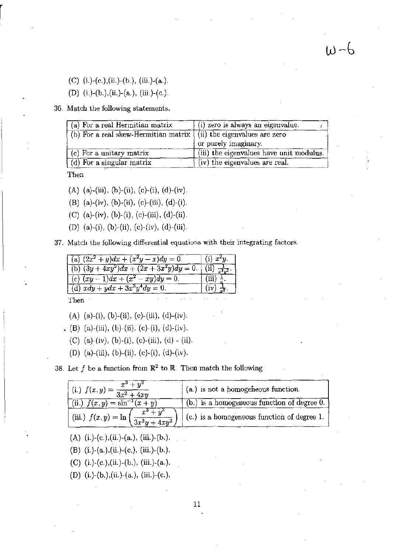(C) (i.)-(c.),(ii.)-(b.), (iii.)-(a.).

(D) (i.)-(b.),(ii.)-(a.), (iii.)-(e.).

**36. Match the following statements.** 

| (a) For a real Hermitian matrix                                              | (i) zero is always an eigenvalue.        |
|------------------------------------------------------------------------------|------------------------------------------|
| (b) For a real skew-Hermitian matrix $\langle$ (ii) the eigenvalues are zero |                                          |
|                                                                              | or purely imaginary.                     |
| $(c)$ For a unitary matrix                                                   | (iii) the eigenvalues have unit modulus. |
| $(d)$ For a singular matrix                                                  | (iv) the eigenvalues are real.           |

 $w - b$ 

**Then** 

- (A) (a)-(iii), (b)-(ii), (c)-(i), (d)-(iv).
- (B) (a)-(iv), (b)-(ii), (c)-(iii), (d)-(i).
- (C) (a)-(iv), (b)-(i), (c)-(iii), (d)-(ii).
- (D) (a)-(i), (b)-(ii), (c)-(iv), (d)-(iii).

37. Match the following differential equations with their integrating factors.

| $\int$ (a) $(2x^2 + y)dx + (x^2y - x)dy = 0$ | $(i)$ $x^2y$ .                       |
|----------------------------------------------|--------------------------------------|
| (b) $(3y + 4xy^2)dx + (2x + 3x^2y)dy = 0.$   | $_{1}$ (ii) $\frac{1}{x^{3}y^{3}}$ . |
| (c) $(xy-1)dx + (x^2-xy)dy = 0.$             | $(iii) \neq$                         |
| (d) $xdy + ydx + 3x^3y^4dy = 0.$             |                                      |

**Then** 

- (A) (a)-(i), (b)-(ii), (c)-(iii), (d)-(iv).
- . (B) (a)-(iii), (b)-(ii), (e)-(i), (d)-(iv).
	- (e) (a)-(iv), (b)-(i), (c)-(iii), (d) (ii).
	- (D) (a)-(iii), (b)-(ii), (c)-(i), (d)-(iv).

**38.** Let  $f$  be a function from  $\mathbb{R}^2$  to  $\mathbb{R}$ . Then match the following

| $\frac{x^3+y^3}{x^3+y^2}$<br>(i.) $f(x,y) = -$<br>$\sqrt{3x^2 + 4x^2}$ | (a.) is not a homogeneous function.             |
|------------------------------------------------------------------------|-------------------------------------------------|
| (ii.) $f(x,y) = \sin^{-1}(x+y)$                                        | $(b.)$ is a homogeneous function of degree $0.$ |
| $x^{\bullet}$<br>(iii.) $f(x, y) = \ln'$<br>$\frac{1}{3x^2y+4xy^2}$    | $(c.)$ is a homogeneous function of degree 1.   |

- (A) (i)-(e.),(ii.)-(a.), (iii.)-(b.).
- (B) (i.)-(a.),(ii.)-(c.), (iii.)-(b.).
- (C) (i.)-(c.),(ii.)-(b.), (iii.)-(a.).
- (D) (i.)-(b.),(iL)-(a.), (iii.)-(e.).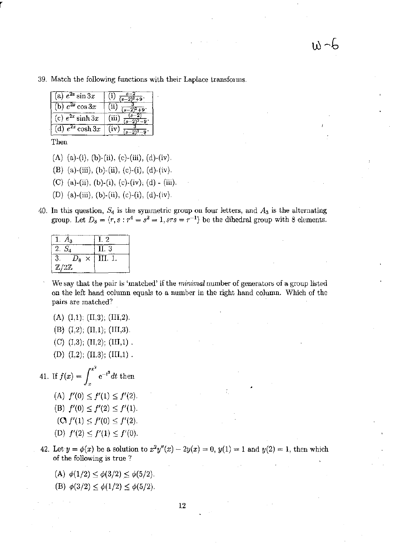39. Match the following functions with their Laplace transforms.

| (a) $e^{2x} \sin 3x$   |  |
|------------------------|--|
| (b) $e^{2x}$ cos 3x    |  |
| (c) $e^{2x}$ sinh $3x$ |  |
| (d) $e^{2x} \cosh 3x$  |  |

Then

r

- (A) (a)-(i), (b)-(ii), (c)-(iii), (d)-(iv).
- (B) (a)-(iii), (b)-(ii), (c)-(i), (d)-(iv).
- (C) (a)-(ii), (b)-(i), (c)-(iv), (d) (iii),
- (D) (a)-(iii), (b)-(ii), (c)-(i), (d)-(iv).
- 40. In this question,  $S_4$  is the symmetric group on four letters, and  $A_3$  is the alternating group. Let  $D_8 = \langle r, s : r^4 = s^2 = 1, srs = r^{-1} \rangle$  be the dihedral group with 8 elements.

| 1. $A_3$                 | 1, 2    |
|--------------------------|---------|
| $2. S_4$                 | H. 3    |
| 3.<br>$D_8 \times$       | III. 1. |
| $\mathbb{Z}/2\mathbb{Z}$ |         |

We say that the pair is 'matched' if the *minimal* number of generators of a group listed on the left hand column equals to a number in the right hand column. Which of the pairs are matched?

- $(A)$   $(I,1);$   $(II,3);$   $(III,2).$
- $(B)$   $(I,2)$ ;  $(II,1)$ ;  $(III,3)$ .
- (C)  $(I,3)$ ;  $(II,2)$ ;  $(III,1)$ .
- (D)  $(I,2)$ ;  $(II,3)$ ;  $(III,1)$ .

41. If 
$$
f(x) = \int_x^{x^2} e^{-t^2} dt
$$
 then  
\n(A)  $f'(0) \le f'(1) \le f'(2)$ .  
\n(B)  $f'(0) \le f'(2) \le f'(1)$ .  
\n(C)  $f'(1) \le f'(0) \le f'(2)$ .  
\n(D)  $f'(2) \le f'(1) \le f'(0)$ .

- 42. Let  $y = \phi(x)$  be a solution to  $x^2y''(x) 2y(x) = 0$ ,  $y(1) = 1$  and  $y(2) = 1$ , then which of the following is true?
	- (A)  $\phi(1/2) \leq \phi(3/2) \leq \phi(5/2)$ .
	- (B)  $\phi(3/2) \leq \phi(1/2) \leq \phi(5/2)$ .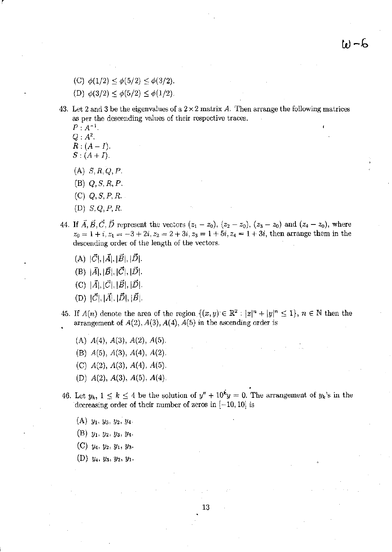$\mathfrak{b}(-6)$ 

- (C)  $\phi(1/2) \leq \phi(5/2) \leq \phi(3/2)$ .
- (D)  $\phi(3/2) \leq \phi(5/2) \leq \phi(1/2)$ .
- 43. Let 2 and 3 be the eigenvalues of a  $2 \times 2$  matrix A. Then arrange the following matrices as per the descending values of their respective traces.
	- $P: A^{-1}.$  $Q: A^2$ .

r

- $R: (A I).$  $S: (A+I).$
- $(A)$  S, R, Q, P.
- (E) Q,S,R,P.
- (C) Q, *S, P,* R.
- (D)  $S, Q, P, R$ .
- 44. If  $\vec{A}, \vec{B}, \vec{C}, \vec{D}$  represent the vectors  $(z_1 z_0)$ ,  $(z_2 z_0)$ ,  $(z_3 z_0)$  and  $(z_4 z_0)$ , where  $z_0 = 1 + i$ ,  $z_1 = -3 + 2i$ ,  $z_2 = 2 + 3i$ ,  $z_3 = 1 + 5i$ ,  $z_4 = 1 + 3i$ , then arrange them in the descending order of the length of the vectors.
	- (A)  $|\vec{C}|, |\vec{A}|, |\vec{B}|, |\vec{D}|.$
	- (B)  $|\vec{A}|, |\vec{B}|, |\vec{C}|, |\vec{D}|.$
	- (C)  $|\vec{A}|, |\vec{C}|, |\vec{B}|, |\vec{D}|.$
	- (D)  $|\vec{C}|, |\vec{A}|, |\vec{D}|, |\vec{B}|.$
- 45. If  $A(n)$  denote the area of the region  $\{(x,y)\in\mathbb{R}^2: |x|^n+|y|^n\leq 1\}$ ,  $n\in\mathbb{N}$  then the arrangement of  $A(2)$ ,  $A(3)$ ,  $A(4)$ ,  $A(5)$  in the ascending order is
	- $(A)$   $A(4)$ ,  $A(3)$ ,  $A(2)$ ,  $A(5)$ .
	- (B)  $A(5)$ ,  $A(3)$ ,  $A(4)$ ,  $A(2)$ .
	- (C)  $A(2)$ ,  $A(3)$ ,  $A(4)$ ,  $A(5)$ .
	- (D)  $A(2)$ ,  $A(3)$ ,  $A(5)$ ,  $A(4)$ .
- . 46. Let  $y_k$ ,  $1 \leq k \leq 4$  be the solution of  $y'' + 10^k y = 0$ . The arrangement of  $y_k$ 's in the decreasing order of their number of zeros in  $[-10, 10]$  is
	- $(A)$   $y_1, y_3, y_2, y_4$
	- $(B)$   $y_1, y_2, y_3, y_4$
	- $(C)$   $y_4$ ,  $y_2$ ,  $y_1$ ,  $y_3$ .
	- $(D)$   $y_4$ ,  $y_3$ ,  $y_2$ ,  $y_1$ .